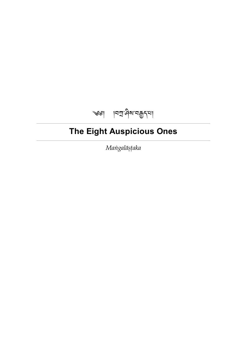# ༄༅། །བ་ས་བད་པ།

# <span id="page-0-0"></span>**The Eight Auspicious Ones**

*Maṅgalāṣṭaka*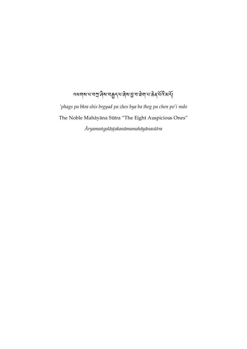# ব্ধনাৰ মান্মা দীৰ নক্সন এৰ এক ব্যক্ত কৰি বিদ্ৰা

*'phags pa bkra shis brgyad pa zhes bya ba theg pa chen po'i mdo* The Noble Mahāyāna Sūtra "The Eight Auspicious Ones" *Āryamaṅgalāṣṭakanāmamahāyānasūtra*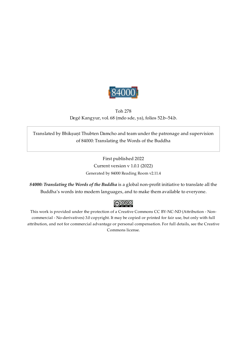

## Toh 278 Degé Kangyur, vol. 68 (mdo sde, ya), folios 52.b–54.b.

<span id="page-2-0"></span>Translated by Bhikṣuṇī Thubten Damcho and team under the patronage and supervision of 84000: Translating the Words of the Buddha

> First published 2022 Current version v 1.0.1 (2022) Generated by 84000 Reading Room v2.11.4

*84000: Translating the Words of the Buddha* is a global non-profit initiative to translate all the Buddha's words into modern languages, and to make them available to everyone.

# $\bigcirc$  000

This work is provided under the protection of a Creative Commons CC BY-NC-ND (Attribution - Noncommercial - No-derivatives) 3.0 copyright. It may be copied or printed for fair use, but only with full attribution, and not for commercial advantage or personal compensation. For full details, see the Creative Commons license.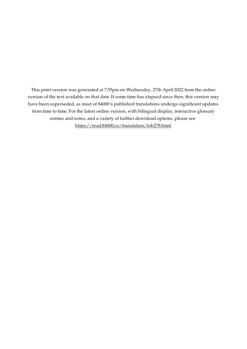This print version was generated at 7.55pm on Wednesday, 27th April 2022 from the online version of the text available on that date. If some time has elapsed since then, this version may have been superseded, as most of 84000's published translations undergo significant updates from time to time. For the latest online version, with bilingual display, interactive glossary entries and notes, and a variety of further download options, please see [https://read.84000.co/translation/toh278.html.](https://read.84000.co/translation/toh278.html)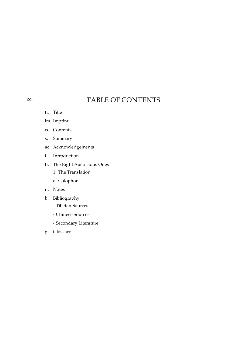# TABLE OF CONTENTS

ti. [Title](#page-0-0)

<span id="page-4-0"></span>[co.](#page-4-0)

- im. [Imprint](#page-2-0)
- co. [Contents](#page-4-0)
- s. [Summary](#page-5-0)
- ac. [Acknowledgements](#page-6-0)
- i. [Introduction](#page-7-0)
- tr. The Eight [Auspicious](#page-9-0) Ones
	- 1. The [Translation](#page-10-0)
	- c. [Colophon](#page-13-0)
- n. [Notes](#page-14-0)
- b. [Bibliography](#page-16-0)
	- · Tibetan [Sources](#page-16-1)
	- · [Chinese](#page-17-0) Sources
	- · [Secondary](#page-17-1) Literature
- g. [Glossary](#page-19-0)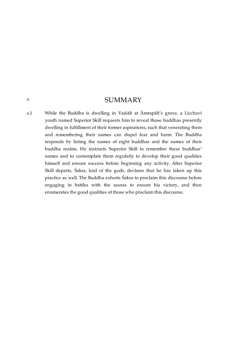## SUMMARY

<span id="page-5-1"></span><span id="page-5-0"></span>While the Buddha is dwelling in Vaiśālī at Āmrapālī's grove, a Licchavi youth named Superior Skill requests him to reveal those buddhas presently dwelling in fulfillment of their former aspirations, such that venerating them and remembering their names can dispel fear and harm. The Buddha responds by listing the names of eight buddhas and the names of their buddha realms. He instructs Superior Skill to remember these buddhas' names and to contemplate them regularly to develop their good qualities himself and ensure success before beginning any activity. After Superior Skill departs, Śakra, lord of the gods, declares that he has taken up this practice as well. The Buddha exhorts Śakra to proclaim this discourse before engaging in battles with the asuras to ensure his victory, and then enumerates the good qualities of those who proclaim this discourse. [s.1](#page-5-1)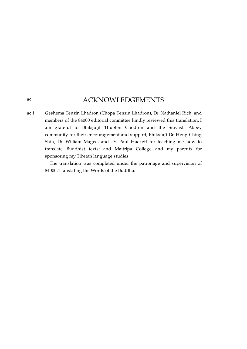## ACKNOWLEDGEMENTS

<span id="page-6-1"></span><span id="page-6-0"></span>Geshema Tenzin Lhadron (Chopa Tenzin Lhadron), Dr. Nathaniel Rich, and members of the 84000 editorial committee kindly reviewed this translation. I am grateful to Bhikṣuṇī Thubten Chodron and the Sravasti Abbey community for their encouragement and support; Bhikṣuṇī Dr. Heng Ching Shih, Dr. William Magee, and Dr. Paul Hackett for teaching me how to translate Buddhist texts; and Maitripa College and my parents for sponsoring my Tibetan language studies. [ac.1](#page-6-1)

> The translation was completed under the patronage and supervision of 84000: Translating the Words of the Buddha.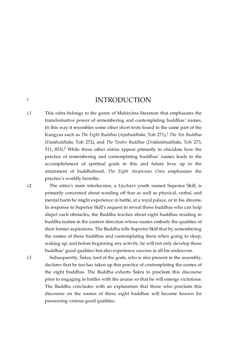# <span id="page-7-4"></span>INTRODUCTION

<span id="page-7-1"></span>This sūtra belongs to the genre of Mahāyāna literature that emphasizes the transformative power of remembering and contemplating buddhas' names. In this way it resembles some other short texts found in the same part of the Kangyur such as *The Eight Buddhas* (*Aṣṭabuddhaka*, Toh 271), *The Ten Buddhas* [1](#page-14-1) (*Daśabuddhaka*, Toh 272), and *The Twelve Buddhas* (*Dvādaśabuddhaka*, Toh 273, 511, 853) $<sup>2</sup>$  $<sup>2</sup>$  $<sup>2</sup>$  While these other sūtras appear primarily to elucidate how the</sup> practice of remembering and contemplating buddhas' names leads to the accomplishment of spiritual goals in this and future lives up to the attainment of buddhahood, *The Eight Auspicious Ones* emphasizes the practice's worldly benefits. [i.1](#page-7-1)

> <span id="page-7-5"></span>The sūtra's main interlocutor, a Licchavi youth named Superior Skill, is primarily concerned about warding off fear as well as physical, verbal, and mental harm he might experience in battle, at a royal palace, or in his dreams. In response to Superior Skill's request to reveal those buddhas who can help dispel such obstacles, the Buddha teaches about eight buddhas residing in buddha realms in the eastern direction whose names embody the qualities of their former aspirations. The Buddha tells Superior Skill that by remembering the names of these buddhas and contemplating them when going to sleep, waking up, and before beginning any activity, he will not only develop these buddhas' good qualities but also experience success in all his endeavors.

Subsequently, Śakra, lord of the gods, who is also present in the assembly, declares that he too has taken up this practice of contemplating the names of the eight buddhas. The Buddha exhorts Śakra to proclaim this discourse prior to engaging in battles with the asuras so that he will emerge victorious. The Buddha concludes with an explanation that those who proclaim this discourse on the names of these eight buddhas will become known for possessing various good qualities.

<span id="page-7-2"></span> $i.2$ 

<span id="page-7-0"></span>[i.](#page-7-0)

<span id="page-7-3"></span>[i.3](#page-7-3)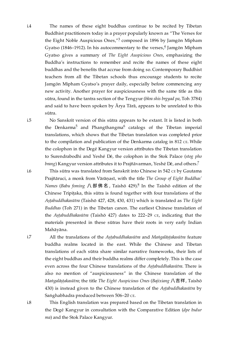<span id="page-8-6"></span><span id="page-8-5"></span>The names of these eight buddhas continue to be recited by Tibetan Buddhist practitioners today in a prayer popularly known as "The Verses for the Eight Noble Auspicious Ones," $^{\frac{3}{2}}$  $^{\frac{3}{2}}$  $^{\frac{3}{2}}$  composed in 1896 by Jamgön Mipham Gyatso (18[4](#page-14-4)6–1912). In his autocommentary to the verses, $\frac{4}{\epsilon}$  Jamgön Mipham Gyatso gives a summary of *The Eight Auspicious Ones*, emphasizing the Buddha's instructions to remember and recite the names of these eight buddhas and the benefits that accrue from doing so. Contemporary Buddhist teachers from all the Tibetan schools thus encourage students to recite Jamgön Mipham Gyatso's prayer daily, especially before commencing any new activity. Another prayer for auspiciousness with the same title as this sūtra, found in the tantra section of the Tengyur (*bkra shis brgyad pa*, Toh 3784) and said to have been spoken by Ārya Tārā, appears to be unrelated to this sūtra.

<span id="page-8-8"></span><span id="page-8-7"></span>No Sanskrit version of this sūtra appears to be extant. It is listed in both the Denkarma<sup>[5](#page-14-5)</sup> and Phangthangma<sup>[6](#page-14-6)</sup> catalogs of the Tibetan imperial translations, which shows that the Tibetan translation was completed prior to the compilation and publication of the Denkarma catalog in 812 CE. While the colophon in the Degé Kangyur version attributes the Tibetan translation to Surendrabodhi and Yeshé Dé, the colophon in the Stok Palace (*stog pho brang*) Kangyur version attributes it to Prajñāvarman, Yeshé Dé, and others. [7](#page-14-7)

<span id="page-8-10"></span><span id="page-8-9"></span>This sūtra was translated from Sanskrit into Chinese in 542 CE by Gautama Prajñāruci, a monk from Vārāṇasī, with the title *The Group of Eight Buddhas' Names (Babu foming 八*部佛名, Taishō 429).<sup>[8](#page-14-8)</sup> In the Taishō edition of the Chinese Tripiṭaka, this sūtra is found together with four translations of the *Aṣṭabuddhakasūtra* (Taishō 427, 428, 430, 431) which is translated as *The Eight Buddhas* (Toh 271) in the Tibetan canon. The earliest Chinese translation of the *Astabuddhakasūtra* (Taishō 427) dates to 222-29 CE, indicating that the materials presented in these sūtras have their roots in very early Indian Mahāyāna.

All the translations of the *Aṣṭabuddhakasūtra* and *Maṅgalāṣṭakasūtra* feature buddha realms located in the east. While the Chinese and Tibetan translations of each sūtra share similar narrative frameworks, their lists of the eight buddhas and their buddha realms differ completely. This is the case even across the four Chinese translations of the *Aṣṭabuddhakasūtra*. There is also no mention of "auspiciousness" in the Chinese translation of the *Maṅgalāṣṭakasūtra*; the title *The Eight Auspicious Ones* (*Bajixiang* ⼋吉祥, Taishō 430) is instead given to the Chinese translation of the *Aṣṭabuddhakasūtra* by Saṅghabhadra produced between 506-20 CE.

This English translation was prepared based on the Tibetan translation in the Degé Kangyur in consultation with the Comparative Edition (*dpe bsdur ma*) and the Stok Palace Kangyur.

<span id="page-8-2"></span>[i.6](#page-8-2)

<span id="page-8-1"></span>[i.5](#page-8-1)

<span id="page-8-0"></span>[i.4](#page-8-0)

<span id="page-8-3"></span>[i.7](#page-8-3)

<span id="page-8-4"></span>[i.8](#page-8-4)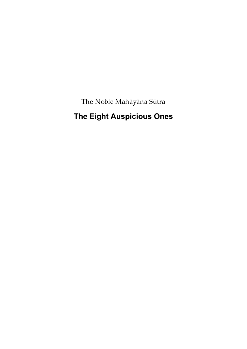The Noble Mahāyāna Sūtra

# <span id="page-9-0"></span>**The Eight Auspicious Ones**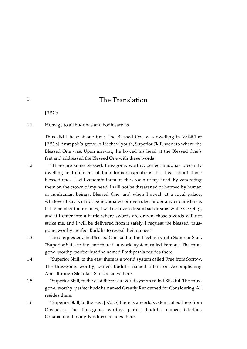## The Translation

[\[F.52.b\]](https://translator:gzungs@read.84000-translate.org/source/toh278.html?ref-index=1#ajax-source)

Homage to all buddhas and bodhisattvas. [1.1](#page-10-1)

> Thus did I hear at one time. The Blessed One was dwelling in Vaiśālī at [\[F.53.a\]](https://translator:gzungs@read.84000-translate.org/source/toh278.html?ref-index=2#ajax-source) Āmrapālī's grove. A Licchavi youth, Superior Skill, went to where the Blessed One was. Upon arriving, he bowed his head at the Blessed One's feet and addressed the Blessed One with these words:

<span id="page-10-2"></span>"There are some blessed, thus-gone, worthy, perfect buddhas presently dwelling in fulfillment of their former aspirations. If I hear about those blessed ones, I will venerate them on the crown of my head. By venerating them on the crown of my head, I will not be threatened or harmed by human or nonhuman beings, Blessed One, and when I speak at a royal palace, whatever I say will not be repudiated or overruled under any circumstance. If I remember their names, I will not even dream bad dreams while sleeping, and if I enter into a battle where swords are drawn, those swords will not strike me, and I will be delivered from it safely. I request the blessed, thusgone, worthy, perfect Buddha to reveal their names." [1.2](#page-10-2)

Thus requested, the Blessed One said to the Licchavi youth Superior Skill, "Superior Skill, to the east there is a world system called Famous. The thusgone, worthy, perfect buddha named Pradīparāja resides there.

"Superior Skill, to the east there is a world system called Free from Sorrow. The thus-gone, worthy, perfect buddha named Intent on Accomplishing Aims through Steadfast Skill<sup>[9](#page-14-9)</sup> resides there.

<span id="page-10-7"></span>"Superior Skill, to the east there is a world system called Blissful. The thusgone, worthy, perfect buddha named Greatly Renowned for Considering All resides there.

"Superior Skill, to the east [\[F.53.b\]](https://translator:gzungs@read.84000-translate.org/source/toh278.html?ref-index=3#ajax-source) there is a world system called Free from Obstacles. The thus-gone, worthy, perfect buddha named Glorious Ornament of Loving-Kindness resides there.

<span id="page-10-1"></span>

<span id="page-10-0"></span>[1.](#page-10-0)

<span id="page-10-4"></span>[1.4](#page-10-4)

<span id="page-10-3"></span>[1.3](#page-10-3)

- <span id="page-10-5"></span>[1.5](#page-10-5)
- <span id="page-10-6"></span>[1.6](#page-10-6)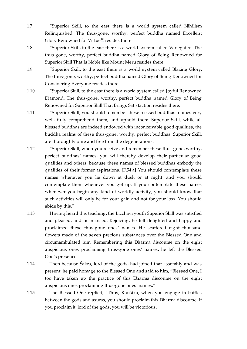- <span id="page-11-9"></span>"Superior Skill, to the east there is a world system called Nihilism Relinquished. The thus-gone, worthy, perfect buddha named Excellent Glory Renowned for Virtue $^{10}$  $^{10}$  $^{10}$  resides there.
- <span id="page-11-1"></span>"Superior Skill, to the east there is a world system called Variegated. The thus-gone, worthy, perfect buddha named Glory of Being Renowned for Superior Skill That Is Noble like Mount Meru resides there. [1.8](#page-11-1)

<span id="page-11-2"></span>"Superior Skill, to the east there is a world system called Blazing Glory. The thus-gone, worthy, perfect buddha named Glory of Being Renowned for Considering Everyone resides there. [1.9](#page-11-2)

<span id="page-11-3"></span>"Superior Skill, to the east there is a world system called Joyful Renowned Diamond. The thus-gone, worthy, perfect buddha named Glory of Being Renowned for Superior Skill That Brings Satisfaction resides there. [1.10](#page-11-3)

<span id="page-11-4"></span>"Superior Skill, you should remember these blessed buddhas' names very well, fully comprehend them, and uphold them. Superior Skill, while all blessed buddhas are indeed endowed with inconceivable good qualities, the buddha realms of these thus-gone, worthy, perfect buddhas, Superior Skill, are thoroughly pure and free from the degenerations. [1.11](#page-11-4)

- <span id="page-11-5"></span>"Superior Skill, when you receive and remember these thus-gone, worthy, perfect buddhas' names, you will thereby develop their particular good qualities and others, because these names of blessed buddhas embody the qualities of their former aspirations. [\[F.54.a\]](https://translator:gzungs@read.84000-translate.org/source/toh278.html?ref-index=4#ajax-source) You should contemplate these names whenever you lie down at dusk or at night, and you should contemplate them whenever you get up. If you contemplate these names whenever you begin any kind of worldly activity, you should know that such activities will only be for your gain and not for your loss. You should abide by this." [1.12](#page-11-5)
- <span id="page-11-6"></span>Having heard this teaching, the Licchavi youth Superior Skill was satisfied and pleased, and he rejoiced. Rejoicing, he felt delighted and happy and proclaimed these thus-gone ones' names. He scattered eight thousand flowers made of the seven precious substances over the Blessed One and circumambulated him. Remembering this Dharma discourse on the eight auspicious ones proclaiming thus-gone ones' names, he left the Blessed One's presence. [1.13](#page-11-6)
- <span id="page-11-7"></span>Then because Śakra, lord of the gods, had joined that assembly and was present, he paid homage to the Blessed One and said to him, "Blessed One, I too have taken up the practice of this Dharma discourse on the eight auspicious ones proclaiming thus-gone ones' names." [1.14](#page-11-7)
- <span id="page-11-8"></span>The Blessed One replied, "Thus, Kauśika, when you engage in battles between the gods and asuras, you should proclaim this Dharma discourse. If you proclaim it, lord of the gods, you will be victorious. [1.15](#page-11-8)

<span id="page-11-0"></span>[1.7](#page-11-0)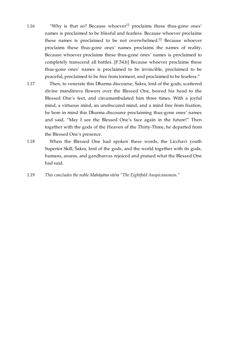- <span id="page-12-5"></span><span id="page-12-4"></span><span id="page-12-0"></span>"Why is that so? Because whoever $11$  proclaims these thus-gone ones' names is proclaimed to be blissful and fearless. Because whoever proclaims these names is proclaimed to be not overwhelmed.<sup>[12](#page-15-1)</sup> Because whoever proclaims these thus-gone ones' names proclaims the names of reality. Because whoever proclaims these thus-gone ones' names is proclaimed to completely transcend all battles. [\[F.54.b\]](https://translator:gzungs@read.84000-translate.org/source/toh278.html?ref-index=5#ajax-source) Because whoever proclaims these thus-gone ones' names is proclaimed to be invincible, proclaimed to be peaceful, proclaimed to be free from torment, and proclaimed to be fearless." [1.16](#page-12-0)
- <span id="page-12-1"></span>Then, to venerate this Dharma discourse, Śakra, lord of the gods, scattered divine mandārava flowers over the Blessed One, bowed his head to the Blessed One's feet, and circumambulated him three times. With a joyful mind, a virtuous mind, an unobscured mind, and a mind free from fixation, he bore in mind this Dharma discourse proclaiming thus-gone ones' names and said, "May I see the Blessed One's face again in the future!" Then together with the gods of the Heaven of the Thirty-Three, he departed from the Blessed One's presence. [1.17](#page-12-1)
- <span id="page-12-2"></span>When the Blessed One had spoken these words, the Licchavi youth Superior Skill, Śakra, lord of the gods, and the world together with its gods, humans, asuras, and gandharvas rejoiced and praised what the Blessed One had said. [1.18](#page-12-2)
- <span id="page-12-3"></span>*This concludes the noble Mahāyāna sūtra "The Eightfold Auspiciousness."* [1.19](#page-12-3)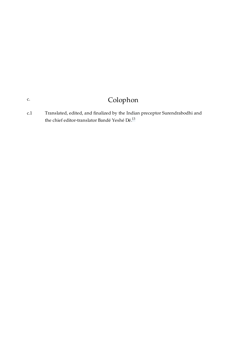# <span id="page-13-2"></span>Colophon

<span id="page-13-1"></span><span id="page-13-0"></span>Translated, edited, and finalized by the Indian preceptor Surendrabodhi and the chief editor-translator Bandé Yeshé Dé.<sup>[13](#page-15-2)</sup> [c.1](#page-13-1)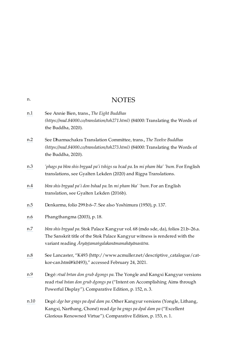<span id="page-14-10"></span><span id="page-14-9"></span><span id="page-14-8"></span><span id="page-14-7"></span><span id="page-14-6"></span><span id="page-14-5"></span><span id="page-14-4"></span><span id="page-14-3"></span><span id="page-14-2"></span><span id="page-14-1"></span><span id="page-14-0"></span>

| n.   | <b>NOTES</b>                                                                                                                                                                                                            |
|------|-------------------------------------------------------------------------------------------------------------------------------------------------------------------------------------------------------------------------|
| n.1  | See Annie Bien, trans., The Eight Buddhas<br>(https://read.84000.co/translation/toh271.html) (84000: Translating the Words of<br>the Buddha, 2020).                                                                     |
| n.2  | See Dharmachakra Translation Committee, trans., The Twelve Buddhas<br>(https://read.84000.co/translation/toh273.html) (84000: Translating the Words of<br>the Buddha, 2020).                                            |
| n.3  | 'phags pa bkra shis brgyad pa'i tshigs su bcad pa. In mi pham bka' 'bum. For English<br>translations, see Gyalten Lekden (2020) and Rigpa Translations.                                                                 |
| n.4  | bkra shis brgyad pa'i don bshad pa. In mi pham bka' 'bum. For an English<br>translation, see Gyalten Lekden (2016b).                                                                                                    |
| n.5  | Denkarma, folio 299.b.6–7. See also Yoshimura (1950), p. 137.                                                                                                                                                           |
| n.6  | Phangthangma (2003), p. 18.                                                                                                                                                                                             |
| n.7  | bkra shis brgyad pa. Stok Palace Kangyur vol. 68 (mdo sde, da), folios 21.b-26.a.<br>The Sanskrit title of the Stok Palace Kangyur witness is rendered with the<br>variant reading Āryāsṭamangalakanāmamahāyānasūtra.   |
| n.8  | See Lancaster, "K493 (http://www.acmuller.net/descriptive_catalogue/cat-<br>kor-can.html#k0493)," accessed February 24, 2021.                                                                                           |
| n.9  | Degé: rtsal brtan don grub dgongs pa. The Yongle and Kangxi Kangyur versions<br>read rtsal bstan don grub dgongs pa ("Intent on Accomplishing Aims through<br>Powerful Display"). Comparative Edition, p. 152, n.3.     |
| n.10 | Degé: dge bar grags pa dpal dam pa. Other Kangyur versions (Yongle, Lithang,<br>Kangxi, Narthang, Choné) read dge ba grags pa dpal dam pa ("Excellent<br>Glorious Renowned Virtue"). Comparative Edition, p. 153, n. 1. |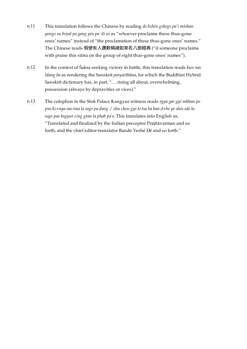- <span id="page-15-0"></span>[n.11](#page-12-4) This translation follows the Chinese by reading *de bzhin gshegs pa'i mtshan yongs su brjod pa gang yin pa 'di ni* as "whoever proclaims these thus-gone ones' names" instead of "the proclamation of these thus-gone ones' names." The Chinese reads 假使有人讚歎稱諸如來名八部經典 ("if someone proclaims with praise this sūtra on the group of eight thus-gone ones' names").
- <span id="page-15-1"></span>[n.12](#page-12-5) In the context of Śakra seeking victory in battle, this translation reads *kun nas ldang ba* as rendering the Sanskrit *paryutthāna*, for which the Buddhist Hybrid Sanskrit dictionary has, in part, "... rising all about, overwhelming, possession (always by depravities or vices)."
- <span id="page-15-2"></span>[n.13](#page-13-2) The colophon in the Stok Palace Kangyur witness reads *rgya gar gyi mkhan po pra dz+nya wa rma la sogs pa dang* / *zhu chen gyi lo tsa ba ban d+he ye shes sde la sogs pas bsgyur cing gtan la phab pa'o*. This translates into English as, "Translated and finalized by the Indian preceptor Prajñāvarman and so forth, and the chief editor-translator Bandé Yeshé Dé and so forth."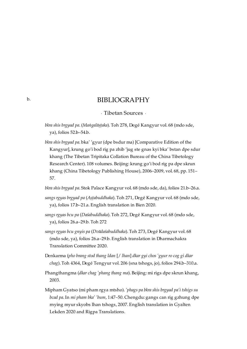### BIBLIOGRAPHY

· Tibetan Sources ·

- *bkra shis brgyad pa*. (*Maṅgalāṣṭaka*). Toh 278, Degé Kangyur vol. 68 (mdo sde, ya), folios 52.b–54.b.
- *bkra shis brgyad pa*. bka' 'gyur (dpe bsdur ma) [Comparative Edition of the Kangyur], krung go'i bod rig pa zhib 'jug ste gnas kyi bka' bstan dpe sdur khang (The Tibetan Tripitaka Collation Bureau of the China Tibetology Research Center). 108 volumes. Beijing: krung go'i bod rig pa dpe skrun khang (China Tibetology Publishing House), 2006–2009, vol. 68, pp. 151– 57.

*bkra shis brgyad pa*. Stok Palace Kangyur vol. 68 (mdo sde, da), folios 21.b–26.a.

- *sangs rgyas brgyad pa* (*Aṣṭabuddhaka*). Toh 271, Degé Kangyur vol. 68 (mdo sde, ya), folios 17.b–21.a. English translation in Bien 2020.
- *sangs rgyas bcu pa* (*Daśabuddhaka*). Toh 272, Degé Kangyur vol. 68 (mdo sde, ya), folios 26.a–29.b. Toh 272
- *sangs rgyas bcu gnyis pa* (*Dvādaśabuddhaka*). Toh 273, Degé Kangyur vol. 68 (mdo sde, ya), folios 26.a–29.b. English translation in Dharmachakra Translation Committee 2020.
- Denkarma (*pho brang stod thang ldan* [/ *lhan*] *dkar gyi chos 'gyur ro cog gi dkar chag*). Toh 4364, Degé Tengyur vol. 206 (sna tshogs, jo), folios 294.b–310.a.
- Phangthangma (*dkar chag 'phang thang ma*). Beijing: mi rigs dpe skrun khang, 2003.
- Mipham Gyatso (mi pham rgya mtsho). *'phags pa bkra shis brgyad pa'i tshigs su bcad pa*. In *mi pham bka' 'bum*, 1:47–50. Chengdu: gangs can rig gzhung dpe rnying myur skyobs lhan tshogs, 2007. English translation in Gyalten Lekden 2020 and Rigpa Translations.

<span id="page-16-1"></span><span id="page-16-0"></span>[b.](#page-16-0)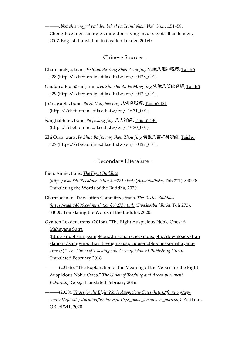———. *bkra shis brgyad pa'i don bshad pa*. In *mi pham bka' 'bum*, 1:51–58. Chengdu: gangs can rig gzhung dpe rnying myur skyobs lhan tshogs, 2007. English translation in Gyalten Lekden 2016b.

### · Chinese Sources ·

- <span id="page-17-0"></span>Dharmarakṣa, trans. *Fo Shuo Ba Yang Shen Zhou Jing* 佛說⼋陽神呪經, Taishō 428 [\(https://cbetaonline.dila.edu.tw/en/T0428\\_001\).](https://cbetaonline.dila.edu.tw/en/T0428_001)
- Gautama Prajñāruci, trans. Fo Shuo Ba Bu Fo Ming Jing 佛說八部佛名經, Taishō 429 [\(https://cbetaonline.dila.edu.tw/en/T0429\\_001\).](https://cbetaonline.dila.edu.tw/en/T0429_001)
- Jñānagupta, trans. *Ba Fo Minghao Jing* ⼋佛名號經, Taishō 431 [\(https://cbetaonline.dila.edu.tw/en/T0431\\_001\).](https://cbetaonline.dila.edu.tw/en/T0431_001)
- Saṅghabhara, trans. *Ba Jixiang Jing* ⼋吉祥經, Taishō 430 [\(https://cbetaonline.dila.edu.tw/en/T0430\\_001\).](https://cbetaonline.dila.edu.tw/en/T0430_001)
- Zhi Qian, trans. *Fo Shuo Ba Jixiang Shen Zhou Jing* 佛說⼋吉祥神呪經, Taishō 427 [\(https://cbetaonline.dila.edu.tw/en/T0427\\_001\).](https://cbetaonline.dila.edu.tw/en/T0427_001)

### · Secondary Literature ·

<span id="page-17-1"></span>Bien, Annie, trans. *The Eight Buddhas [\(https://read.84000.co/translation/toh271.html\)](https://read.84000.co/translation/toh271.html)* (*Aṣṭabuddhaka*, Toh 271). 84000: Translating the Words of the Buddha, 2020.

Dharmachakra Translation Committee, trans. *The Twelve Buddhas [\(https://read.84000.co/translation/toh273.html\)](https://read.84000.co/translation/toh273.html)* (*Dvādaśabuddhaka*, Toh 273). 84000: Translating the Words of the Buddha, 2020.

Gyalten Lekden, trans. (2016a). "The Eight Auspicious Noble Ones: A Mahāyāna Sutra

[\(http://publishing.simplebuddhistmonk.net/index.php/downloads/tran](http://publishing.simplebuddhistmonk.net/index.php/downloads/translations/kangyur-sutra/the-eight-auspicious-noble-ones-a-mahayana-sutra/) slations/kangyur-sutra/the-eight-auspicious-noble-ones-a-mahayanasutra/)." *The Union of Teaching and Accomplishment Publishing Group*. Translated February 2016.

-(2016b). "The Explanation of the Meaning of the Verses for the Eight Auspicious Noble Ones." *The Union of Teaching and Accomplishment Publishing Group*. Translated February 2016.

———(2020). *Verses for the Eight Noble Auspicious Ones (https://fpmt.org/wp[content/uploads/education/teachings/texts/8\\_noble\\_auspicious\\_ones.pdf\)](https://fpmt.org/wp-content/uploads/education/teachings/texts/8_noble_auspicious_ones.pdf)*. Portland, OR: FPMT, 2020.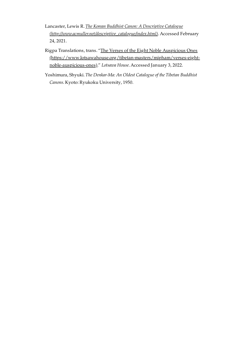- Lancaster, Lewis R. *The Korean Buddhist Canon: A Descriptive Catalogue [\(http://www.acmuller.net/descriptive\\_catalogue/index.html\)](http://www.acmuller.net/descriptive_catalogue/index.html)*. Accessed February 24, 2021.
- Rigpa Translations, trans. "The Verses of the Eight Noble Auspicious Ones [\(https://www.lotsawahouse.org/tibetan-masters/mipham/verses-eight](https://www.lotsawahouse.org/tibetan-masters/mipham/verses-eight-noble-auspicious-ones)noble-auspicious-ones)." *Lotsawa House*. Accessed January 3, 2022.
- Yoshimura, Shyuki. *The Denkar-Ma: An Oldest Catalogue of the Tibetan Buddhist Canons*. Kyoto: Ryukoku University, 1950.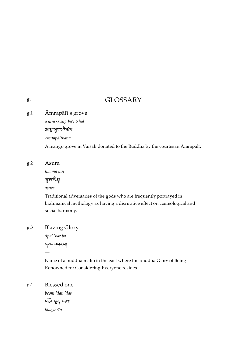# GLOSSARY

#### <span id="page-19-1"></span>Āmrapālī's grove [g.1](#page-19-1)

*a mra srung ba'i tshal*

জান্মস্থানবন্দ্রকা

*Āmrapālīvana*

A mango grove in Vaiśālī donated to the Buddha by the courtesan Āmrapālī.

<span id="page-19-2"></span>Asura [g.2](#page-19-2)

*lha ma yin*

স্থামান্ডীৰ্

*asura*

Traditional adversaries of the gods who are frequently portrayed in brahmanical mythology as having a disruptive effect on cosmological and social harmony.

#### <span id="page-19-3"></span>Blazing Glory [g.3](#page-19-3)

—

*dpal 'bar ba* དཔལ་འབར་བ།

Name of a buddha realm in the east where the buddha Glory of Being Renowned for Considering Everyone resides.

<span id="page-19-4"></span>Blessed one *bcom ldan 'das* བམ་ན་འདས། *bhagavān* [g.4](#page-19-4)

<span id="page-19-0"></span>[g.](#page-19-0)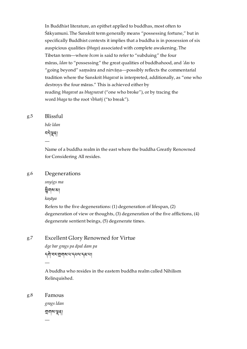In Buddhist literature, an epithet applied to buddhas, most often to Śākyamuni. The Sanskrit term generally means "possessing fortune," but in specifically Buddhist contexts it implies that a buddha is in possession of six auspicious qualities (*bhaga*) associated with complete awakening. The Tibetan term—where *bcom* is said to refer to "subduing" the four māras, *ldan* to "possessing" the great qualities of buddhahood, and *'das* to "going beyond" saṃsāra and nirvāṇa—possibly reflects the commentarial tradition where the Sanskrit *bhagavat* is interpreted, additionally, as "one who destroys the four māras." This is achieved either by reading *bhagavat* as *bhagnavat* ("one who broke"), or by tracing the word *bhaga* to the root √*bhañj* ("to break").

#### <span id="page-20-0"></span>Blissful [g.5](#page-20-0)

*bde ldan* নব্দুৰা

—

Name of a buddha realm in the east where the buddha Greatly Renowned for Considering All resides.

#### <span id="page-20-1"></span>Degenerations [g.6](#page-20-1)

*snyigs ma* ষ্ট্ৰশৰুমা

*kaṣāya*

Refers to the five degenerations: (1) degeneration of lifespan, (2) degeneration of view or thoughts, (3) degeneration of the five afflictions, (4) degenerate sentient beings, (5) degenerate times.

#### <span id="page-20-2"></span>Excellent Glory Renowned for Virtue [g.7](#page-20-2)

*dge bar grags pa dpal dam pa*

<u> </u>ক্মি'নম্ম্ৰান্মখন্ম নমা

A buddha who resides in the eastern buddha realm called Nihilism Relinquished.

#### <span id="page-20-3"></span>Famous [g.8](#page-20-3)

*grags ldan*

হ্মশৰুণ —

—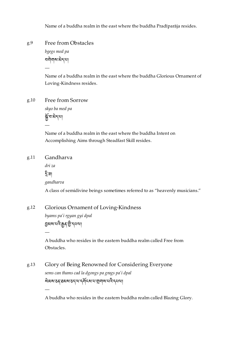Name of a buddha realm in the east where the buddha Pradīparāja resides.

#### <span id="page-21-0"></span>Free from Obstacles [g.9](#page-21-0)

*bgegs med pa* བགས་ད་པ།

—

Name of a buddha realm in the east where the buddha Glorious Ornament of Loving-Kindness resides.

<span id="page-21-1"></span>Free from Sorrow *skyo ba med pa* ་བ་ད་པ། [g.10](#page-21-1)

> Name of a buddha realm in the east where the buddha Intent on Accomplishing Aims through Steadfast Skill resides.

#### <span id="page-21-2"></span>Gandharva [g.11](#page-21-2)

—

*dri za*

## ষিুী

—

—

*gandharva*

A class of semidivine beings sometimes referred to as "heavenly musicians."

#### <span id="page-21-3"></span>Glorious Ornament of Loving-Kindness [g.12](#page-21-3)

*byams pa'i rgyan gyi dpal* গ্রিমম্মান ক্রীক্র ব্রী: ব্রন্মা

A buddha who resides in the eastern buddha realm called Free from Obstacles.

### <span id="page-21-4"></span>Glory of Being Renowned for Considering Everyone *sems can thams cad la dgongs pa grags pa'i dpal* ষ্টমম্ভের্'রমম্ভেন্'ম'ন্ম্র্নিম'ন'ন্ম্রান্ম'ন্দ্রি'ন্ন্দ্রা [g.13](#page-21-4)

A buddha who resides in the eastern buddha realm called Blazing Glory.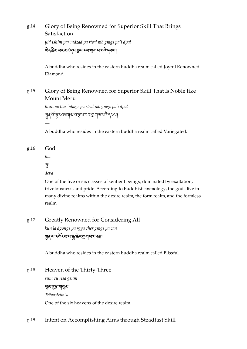#### <span id="page-22-0"></span>Glory of Being Renowned for Superior Skill That Brings Satisfaction [g.14](#page-22-0)

*yid tshim par mdzad pa rtsal rab grags pa'i dpal* ติรุซึมฯรสย์รุฯ ซุขราตุขุดหลักรุย

A buddha who resides in the eastern buddha realm called Joyful Renowned Diamond.

### <span id="page-22-1"></span>Glory of Being Renowned for Superior Skill That Is Noble like Mount Meru [g.15](#page-22-1)

*lhun po ltar 'phags pa rtsal rab grags pa'i dpal* ભ્રુદ્દાર્ય ભ્રુદ્ધા મહારા આવી જ તેમાં મુખ્ય મુખ્ય મુખ્ય મુખ્ય મુખ્ય મુખ્ય મુખ્ય મુખ્ય મુખ્ય મુખ્ય મુખ્ય મુખ્ય

A buddha who resides in the eastern buddha realm called Variegated.

<span id="page-22-2"></span>God [g.16](#page-22-2)

*lha*

—

—

།

*deva*

One of the five or six classes of sentient beings, dominated by exaltation, frivolousness, and pride. According to Buddhist cosmology, the gods live in many divine realms within the desire realm, the form realm, and the formless realm.

#### <span id="page-22-3"></span>Greatly Renowned for Considering All [g.17](#page-22-3)

*kun la dgongs pa rgya cher grags pa can* দ্যুৰ্বশন্ধৰ্শৰ ক্ষম ক্ৰম বাৰা বিষয়া

A buddha who resides in the eastern buddha realm called Blissful.

#### <span id="page-22-4"></span>Heaven of the Thirty-Three [g.18](#page-22-4)

*sum cu rtsa gsum*

<u>মু</u>ন্সস্তুস্কুশাম্ভ্রনা

—

*Trāyastriṃśa*

One of the six heavens of the desire realm.

#### <span id="page-22-5"></span>Intent on Accomplishing Aims through Steadfast Skill [g.19](#page-22-5)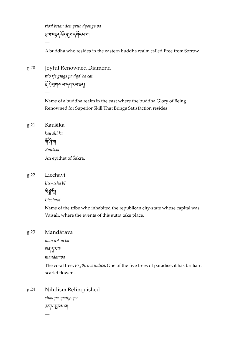*rtsal brtan don grub dgongs pa* ལ་བན་ན་བ་དངས་པ།

A buddha who resides in the eastern buddha realm called Free from Sorrow.

<span id="page-23-0"></span>Joyful Renowned Diamond *rdo rje grags pa dga' ba can* ইক্টিত্ৰাবাৰ্মামানবাৰ্মা [g.20](#page-23-0)

> Name of a buddha realm in the east where the buddha Glory of Being Renowned for Superior Skill That Brings Satisfaction resides.

<span id="page-23-1"></span>Kauśika [g.21](#page-23-1)

—

—

*kau shi ka* শিঁঔπ *Kauśika* An epithet of Śakra.

#### <span id="page-23-2"></span>Licchavi [g.22](#page-23-2)

*lits+tsha bI* ন্যইন্থা *Licchavi*

Name of the tribe who inhabited the republican city-state whose capital was Vaiśālī, where the events of this sūtra take place.

#### <span id="page-23-3"></span>Mandārava [g.23](#page-23-3)

*man dA ra ba*

### མན་་ར་བ།

*mandārava*

The coral tree, *Erythrina indica*. One of the five trees of paradise, it has brilliant scarlet flowers.

#### <span id="page-23-4"></span>Nihilism Relinquished [g.24](#page-23-4)

*chad pa spangs pa*

ཆད་པ་ངས་པ།

—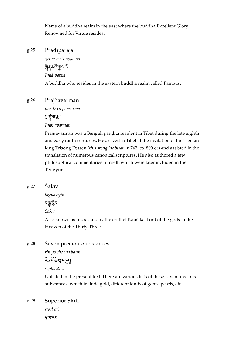Name of a buddha realm in the east where the buddha Excellent Glory Renowned for Virtue resides.

#### <span id="page-24-0"></span>Pradīparāja [g.25](#page-24-0)

*sgron ma'i rgyal po*

য়ৣ৾ঀয়ড়ড়

*Pradīparāja*

A buddha who resides in the eastern buddha realm called Famous.

#### <span id="page-24-1"></span>Prajñāvarman [g.26](#page-24-1)

*pra dz+nya wa rma*

### ยะรัช ม

*Prajñāvarman*

Prajñāvarman was a Bengali paṇḍita resident in Tibet during the late eighth and early ninth centuries. He arrived in Tibet at the invitation of the Tibetan king Trisong Detsen (*khri srong lde btsan*, r. 742–ca. 800 CE) and assisted in the translation of numerous canonical scriptures. He also authored a few philosophical commentaries himself, which were later included in the Tengyur.

#### <span id="page-24-2"></span>Śakra [g.27](#page-24-2)

*brgya byin* নক্সম্ভীৰা

*Śakra*

Also known as Indra, and by the epithet Kauśika. Lord of the gods in the Heaven of the Thirty-Three.

<span id="page-24-3"></span>Seven precious substances [g.28](#page-24-3)

*rin po che sna bdun*

# ষ্ট্রস্ম মন্ত্র

*saptaratna*

Unlisted in the present text. There are various lists of these seven precious substances, which include gold, different kinds of gems, pearls, etc.

<span id="page-24-4"></span>Superior Skill *rtsal rab* ལ་རབ། [g.29](#page-24-4)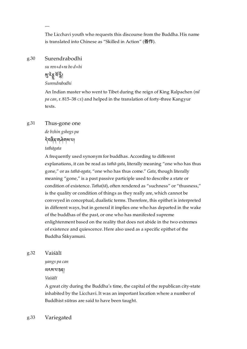The Licchavi youth who requests this discourse from the Buddha. His name is translated into Chinese as "Skilled in Action" (善作).

#### <span id="page-25-0"></span>Surendrabodhi [g.30](#page-25-0)

—

*su ren+d+ra bo d+hi*

য়ৢৼয়ড়

*Surendrabodhi*

An Indian master who went to Tibet during the reign of King Ralpachen (*ral* pa can, r. 815–38 CE) and helped in the translation of forty-three Kangyur texts.

#### <span id="page-25-1"></span>Thus-gone one [g.31](#page-25-1)

*de bzhin gshegs pa*

་བན་གགས་པ།

*tathāgata*

A frequently used synonym for buddhas. According to different explanations, it can be read as *tathā-gata*, literally meaning "one who has thus gone," or as *tathā-agata*, "one who has thus come." *Gata*, though literally meaning "gone," is a past passive participle used to describe a state or condition of existence. *Tatha*(*tā*), often rendered as "suchness" or "thusness," is the quality or condition of things as they really are, which cannot be conveyed in conceptual, dualistic terms. Therefore, this epithet is interpreted in different ways, but in general it implies one who has departed in the wake of the buddhas of the past, or one who has manifested supreme enlightenment based on the reality that does not abide in the two extremes of existence and quiescence. Here also used as a specific epithet of the Buddha Śākyamuni.

#### <span id="page-25-2"></span>Vaiśālī [g.32](#page-25-2)

*yangs pa can*

ཡངས་པ་ཅན།

*Vaiśālī*

A great city during the Buddha's time, the capital of the republican city-state inhabited by the Licchavi. It was an important location where a number of Buddhist sūtras are said to have been taught.

<span id="page-25-3"></span>Variegated [g.33](#page-25-3)